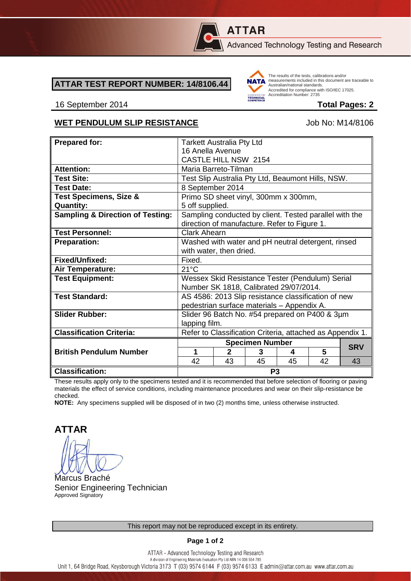

# **ATTAR**

Advanced Technology Testing and Research

### **ATTAR TEST REPORT NUMBER: 14/8106.44**



The results of the tests, calibrations and/or measurements included in this document are traceable to Australian/national standards. Adstrational Midtonian Standards.<br>Accredited for compliance with ISO/IEC 17025. Accreditation Number: 2735

#### 16 September 2014 **Total Pages: 2**

## WET PENDULUM SLIP RESISTANCE<br>
Up to M14/8106

| <b>Prepared for:</b>                        | <b>Tarkett Australia Pty Ltd</b>                                                                       |              |    |    |    |            |
|---------------------------------------------|--------------------------------------------------------------------------------------------------------|--------------|----|----|----|------------|
|                                             | 16 Anella Avenue                                                                                       |              |    |    |    |            |
|                                             | CASTLE HILL NSW 2154                                                                                   |              |    |    |    |            |
| <b>Attention:</b>                           | Maria Barreto-Tilman                                                                                   |              |    |    |    |            |
| <b>Test Site:</b>                           | Test Slip Australia Pty Ltd, Beaumont Hills, NSW.                                                      |              |    |    |    |            |
| <b>Test Date:</b>                           | 8 September 2014                                                                                       |              |    |    |    |            |
| <b>Test Specimens, Size &amp;</b>           | Primo SD sheet vinyl, 300mm x 300mm,                                                                   |              |    |    |    |            |
| <b>Quantity:</b>                            | 5 off supplied.                                                                                        |              |    |    |    |            |
| <b>Sampling &amp; Direction of Testing:</b> | Sampling conducted by client. Tested parallel with the<br>direction of manufacture. Refer to Figure 1. |              |    |    |    |            |
| <b>Test Personnel:</b>                      | <b>Clark Ahearn</b>                                                                                    |              |    |    |    |            |
| <b>Preparation:</b>                         | Washed with water and pH neutral detergent, rinsed                                                     |              |    |    |    |            |
|                                             | with water, then dried.                                                                                |              |    |    |    |            |
| Fixed/Unfixed:                              | Fixed.                                                                                                 |              |    |    |    |            |
| Air Temperature:                            | $21^{\circ}$ C                                                                                         |              |    |    |    |            |
| <b>Test Equipment:</b>                      | Wessex Skid Resistance Tester (Pendulum) Serial                                                        |              |    |    |    |            |
|                                             | Number SK 1818, Calibrated 29/07/2014.                                                                 |              |    |    |    |            |
| <b>Test Standard:</b>                       | AS 4586: 2013 Slip resistance classification of new                                                    |              |    |    |    |            |
|                                             | pedestrian surface materials - Appendix A.                                                             |              |    |    |    |            |
| <b>Slider Rubber:</b>                       | Slider 96 Batch No. #54 prepared on P400 & 3µm                                                         |              |    |    |    |            |
|                                             | lapping film.                                                                                          |              |    |    |    |            |
| <b>Classification Criteria:</b>             | Refer to Classification Criteria, attached as Appendix 1.                                              |              |    |    |    |            |
|                                             | <b>Specimen Number</b>                                                                                 |              |    |    |    | <b>SRV</b> |
| <b>British Pendulum Number</b>              | 1                                                                                                      | $\mathbf{2}$ | 3  | 4  | 5  |            |
|                                             | 42                                                                                                     | 43           | 45 | 45 | 42 | 43         |
| <b>Classification:</b>                      | P <sub>3</sub>                                                                                         |              |    |    |    |            |

These results apply only to the specimens tested and it is recommended that before selection of flooring or paving materials the effect of service conditions, including maintenance procedures and wear on their slip-resistance be checked.

**NOTE:** Any specimens supplied will be disposed of in two (2) months time, unless otherwise instructed.

**ATTAR**

Marcus Braché Senior Engineering Technician Approved Signatory

**Page 1 of 2**